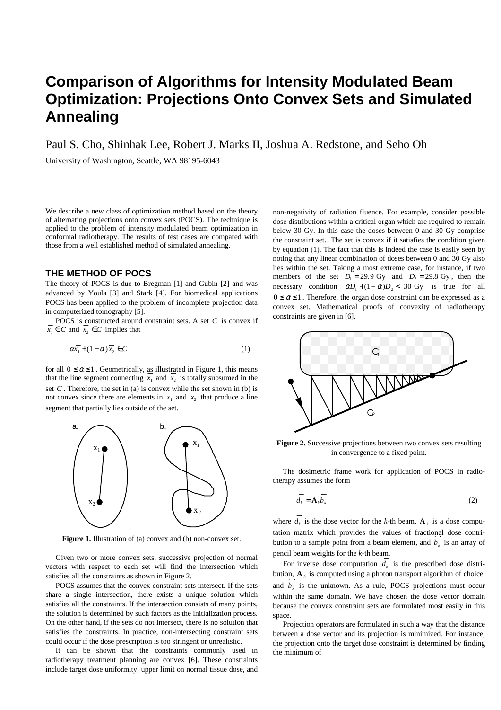# **Comparison of Algorithms for Intensity Modulated Beam Optimization: Projections Onto Convex Sets and Simulated Annealing**

Paul S. Cho, Shinhak Lee, Robert J. Marks II, Joshua A. Redstone, and Seho Oh

University of Washington, Seattle, WA 98195-6043

We describe a new class of optimization method based on the theory of alternating projections onto convex sets (POCS). The technique is applied to the problem of intensity modulated beam optimization in conformal radiotherapy. The results of test cases are compared with those from a well established method of simulated annealing.

## **THE METHOD OF POCS**

The theory of POCS is due to Bregman [1] and Gubin [2] and was advanced by Youla [3] and Stark [4]. For biomedical applications POCS has been applied to the problem of incomplete projection data in computerized tomography [5].

POCS is constructed around constraint sets. A set  $C$  is convex if *x*<sup>1</sup> ∈ *C* and *x*<sup>2</sup> ∈ *C* implies that

$$
\overline{\alpha x_1} + (1 - \alpha) \overline{x_2} \in C \tag{1}
$$

for all  $0 \le \alpha \le 1$ . Geometrically, as illustrated in Figure 1, this means that the line segment connecting  $x_1$  and  $x_2$  is totally subsumed in the set  $C$ . Therefore, the set in (a) is convex while the set shown in (b) is not convex since there are elements in  $x_1$  and  $x_2$  that produce a line segment that partially lies outside of the set.



**Figure 1.** Illustration of (a) convex and (b) non-convex set.

Given two or more convex sets, successive projection of normal vectors with respect to each set will find the intersection which satisfies all the constraints as shown in Figure 2.

POCS assumes that the convex constraint sets intersect. If the sets share a single intersection, there exists a unique solution which satisfies all the constraints. If the intersection consists of many points, the solution is determined by such factors as the initialization process. On the other hand, if the sets do not intersect, there is no solution that satisfies the constraints. In practice, non-intersecting constraint sets could occur if the dose prescription is too stringent or unrealistic.

It can be shown that the constraints commonly used in radiotherapy treatment planning are convex [6]. These constraints include target dose uniformity, upper limit on normal tissue dose, and non-negativity of radiation fluence. For example, consider possible dose distributions within a critical organ which are required to remain below 30 Gy. In this case the doses between 0 and 30 Gy comprise the constraint set. The set is convex if it satisfies the condition given by equation (1). The fact that this is indeed the case is easily seen by noting that any linear combination of doses between 0 and 30 Gy also lies within the set. Taking a most extreme case, for instance, if two members of the set  $D_1 = 29.9$  Gy and  $D_2 = 29.8$  Gy, then the necessary condition  $\alpha D_1 + (1 - \alpha)D_2 < 30$  Gy is true for all  $0 \le \alpha \le 1$ . Therefore, the organ dose constraint can be expressed as a convex set. Mathematical proofs of convexity of radiotherapy constraints are given in [6].



**Figure 2.** Successive projections between two convex sets resulting in convergence to a fixed point.

The dosimetric frame work for application of POCS in radiotherapy assumes the form

$$
\overline{d_k} = \mathbf{A}_k \overline{b_k} \tag{2}
$$

where  $d_k$  is the dose vector for the *k*-th beam,  $\mathbf{A}_k$  is a dose computation matrix which provides the values of fractional dose contribution to a sample point from a beam element, and  $b_k$  is an array of pencil beam weights for the *k*-th beam. r

r

For inverse dose computation  $d_k$  is the prescribed dose distribution,  $\mathbf{A}_k$  is computed using a photon transport algorithm of choice, and  $b_k$  is the unknown. As a rule, POCS projections must occur within the same domain. We have chosen the dose vector domain because the convex constraint sets are formulated most easily in this space.

Projection operators are formulated in such a way that the distance between a dose vector and its projection is minimized. For instance, the projection onto the target dose constraint is determined by finding the minimum of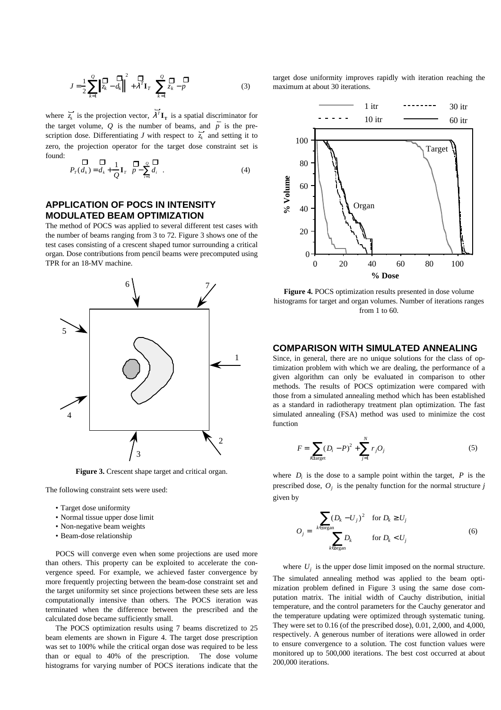$$
J = \frac{1}{2} \sum_{k=1}^{Q} \left\| \frac{\mathbf{D}}{z_k} - d_k \right\|^2 + \lambda^T \mathbf{I}_T \left( \sum_{k=1}^{Q} \frac{\mathbf{D}}{z_k} - p \right)
$$
(3)

where  $\overline{z_k}$  is  $\overline{z_k}$  is the projection vector,  $\lambda^T$  $\lambda^T \mathbf{I}_T$  is a spatial discriminator for the target volume,  $Q$  is the number of beams, and  $p$  is the prescription dose. Differentiating *J* with respect to  $\overline{z_k}$  and setting it to zero, the projection operator for the target dose constraint set is found: 

$$
\mathbf{D}_{r}(d_{k}) = d_{k} + \frac{1}{Q} \mathbf{I}_{r} \left( \mathbf{D} \sum_{i=1}^{Q} \mathbf{D}_{i} \right). \tag{4}
$$

# **APPLICATION OF POCS IN INTENSITY MODULATED BEAM OPTIMIZATION**

The method of POCS was applied to several different test cases with the number of beams ranging from 3 to 72. Figure 3 shows one of the test cases consisting of a crescent shaped tumor surrounding a critical organ. Dose contributions from pencil beams were precomputed using TPR for an 18-MV machine.



**Figure 3.** Crescent shape target and critical organ.

The following constraint sets were used:

- Target dose uniformity
- Normal tissue upper dose limit
- Non-negative beam weights
- Beam-dose relationship

POCS will converge even when some projections are used more than others. This property can be exploited to accelerate the convergence speed. For example, we achieved faster convergence by more frequently projecting between the beam-dose constraint set and the target uniformity set since projections between these sets are less computationally intensive than others. The POCS iteration was terminated when the difference between the prescribed and the calculated dose became sufficiently small.

The POCS optimization results using 7 beams discretized to 25 beam elements are shown in Figure 4. The target dose prescription was set to 100% while the critical organ dose was required to be less than or equal to 40% of the prescription. The dose volume histograms for varying number of POCS iterations indicate that the

target dose uniformity improves rapidly with iteration reaching the maximum at about 30 iterations.



**Figure 4.** POCS optimization results presented in dose volume histograms for target and organ volumes. Number of iterations ranges from 1 to 60.

### **COMPARISON WITH SIMULATED ANNEALING**

Since, in general, there are no unique solutions for the class of optimization problem with which we are dealing, the performance of a given algorithm can only be evaluated in comparison to other methods. The results of POCS optimization were compared with those from a simulated annealing method which has been established as a standard in radiotherapy treatment plan optimization. The fast simulated annealing (FSA) method was used to minimize the cost function

$$
F = \sum_{i \in \text{target}} (D_i - P)^2 + \sum_{j=1}^{N} r_j O_j \tag{5}
$$

where  $D_i$  is the dose to a sample point within the target,  $P$  is the prescribed dose, *O<sup>j</sup>* is the penalty function for the normal structure *j* given by

$$
O_j = \begin{cases} \sum_{k \in \text{organ}} (D_k - U_j)^2 & \text{for } D_k \ge U_j\\ \sum_{k \in \text{organ}} D_k & \text{for } D_k < U_j \end{cases} \tag{6}
$$

where  $U_j$  is the upper dose limit imposed on the normal structure.

The simulated annealing method was applied to the beam optimization problem defined in Figure 3 using the same dose computation matrix. The initial width of Cauchy distribution, initial temperature, and the control parameters for the Cauchy generator and the temperature updating were optimized through systematic tuning. They were set to 0.16 (of the prescribed dose), 0.01, 2,000, and 4,000, respectively. A generous number of iterations were allowed in order to ensure convergence to a solution. The cost function values were monitored up to 500,000 iterations. The best cost occurred at about 200,000 iterations.